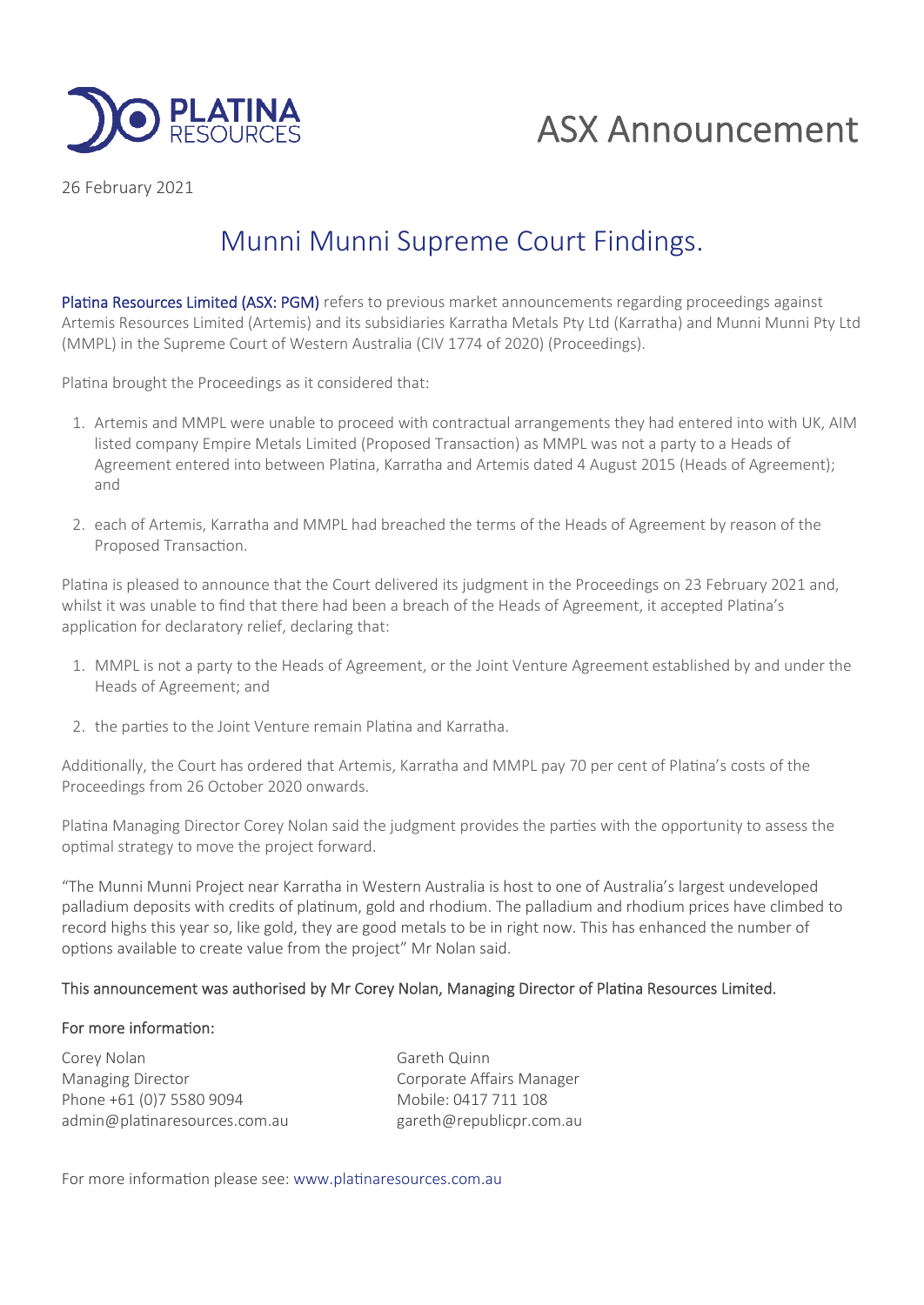

# ASX Announcement

26 February 2021

## Munni Munni Supreme Court Findings.

Platina Resources Limited (ASX: PGM) refers to previous market announcements regarding proceedings against Artemis Resources Limited (Artemis) and its subsidiaries Karratha Metals Pty Ltd (Karratha) and Munni Munni Pty Ltd (MMPL) in the Supreme Court of Western Australia (CIV 1774 of 2020) (Proceedings).

Platina brought the Proceedings as it considered that:

- 1. Artemis and MMPL were unable to proceed with contractual arrangements they had entered into with UK, AIM listed company Empire Metals Limited (Proposed Transaction) as MMPL was not a party to a Heads of Agreement entered into between Platina, Karratha and Artemis dated 4 August 2015 (Heads of Agreement); and
- 2. each of Artemis, Karratha and MMPL had breached the terms of the Heads of Agreement by reason of the Proposed Transaction.

Platina is pleased to announce that the Court delivered its judgment in the Proceedings on 23 February 2021 and, whilst it was unable to find that there had been a breach of the Heads of Agreement, it accepted Platina's application for declaratory relief, declaring that:

- 1. MMPL is not a party to the Heads of Agreement, or the Joint Venture Agreement established by and under the Heads of Agreement; and
- 2. the parties to the Joint Venture remain Platina and Karratha.

Additionally, the Court has ordered that Artemis, Karratha and MMPL pay 70 per cent of Platina's costs of the Proceedings from 26 October 2020 onwards.

Platina Managing Director Corey Nolan said the judgment provides the parties with the opportunity to assess the optimal strategy to move the project forward.

"The Munni Munni Project near Karratha in Western Australia is host to one of Australia's largest undeveloped palladium deposits with credits of platinum, gold and rhodium. The palladium and rhodium prices have climbed to record highs this year so, like gold, they are good metals to be in right now. This has enhanced the number of options available to create value from the project" Mr Nolan said.

### This announcement was authorised by Mr Corey Nolan, Managing Director of Platina Resources Limited.

### For more information:

Corey Nolan Gareth Quinn Managing Director **Communists** Corporate Affairs Manager Phone +61 (0)7 5580 9094 Mobile: 0417 711 108 admin@platinaresources.com.au example gareth@republicpr.com.au

For more information please see: www.platinaresources.com.au